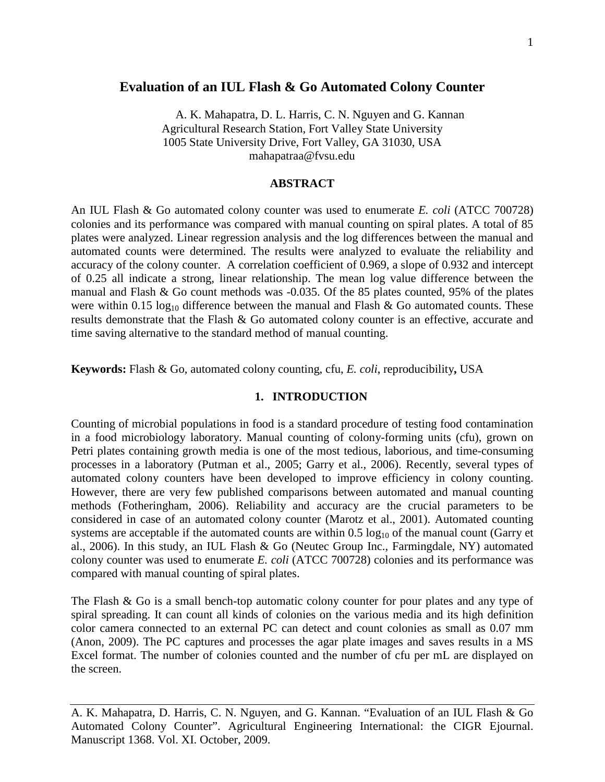# **Evaluation of an IUL Flash & Go Automated Colony Counter**

A. K. Mahapatra, D. L. Harris, C. N. Nguyen and G. Kannan Agricultural Research Station, Fort Valley State University 1005 State University Drive, Fort Valley, GA 31030, USA mahapatraa@fvsu.edu

## **ABSTRACT**

An IUL Flash & Go automated colony counter was used to enumerate *E. coli* (ATCC 700728) colonies and its performance was compared with manual counting on spiral plates. A total of 85 plates were analyzed. Linear regression analysis and the log differences between the manual and automated counts were determined. The results were analyzed to evaluate the reliability and accuracy of the colony counter. A correlation coefficient of 0.969, a slope of 0.932 and intercept of 0.25 all indicate a strong, linear relationship. The mean log value difference between the manual and Flash & Go count methods was -0.035. Of the 85 plates counted, 95% of the plates were within 0.15  $log_{10}$  difference between the manual and Flash & Go automated counts. These results demonstrate that the Flash & Go automated colony counter is an effective, accurate and time saving alternative to the standard method of manual counting.

**Keywords:** Flash & Go, automated colony counting, cfu, *E. coli*, reproducibility**,** USA

# **1. INTRODUCTION**

Counting of microbial populations in food is a standard procedure of testing food contamination in a food microbiology laboratory. Manual counting of colony-forming units (cfu), grown on Petri plates containing growth media is one of the most tedious, laborious, and time-consuming processes in a laboratory (Putman et al., 2005; Garry et al., 2006). Recently, several types of automated colony counters have been developed to improve efficiency in colony counting. However, there are very few published comparisons between automated and manual counting methods (Fotheringham, 2006). Reliability and accuracy are the crucial parameters to be considered in case of an automated colony counter (Marotz et al., 2001). Automated counting systems are acceptable if the automated counts are within  $0.5 \log_{10}$  of the manual count (Garry et al., 2006). In this study, an IUL Flash & Go (Neutec Group Inc., Farmingdale, NY) automated colony counter was used to enumerate *E. coli* (ATCC 700728) colonies and its performance was compared with manual counting of spiral plates.

The Flash & Go is a small bench-top automatic colony counter for pour plates and any type of spiral spreading. It can count all kinds of colonies on the various media and its high definition color camera connected to an external PC can detect and count colonies as small as 0.07 mm (Anon, 2009). The PC captures and processes the agar plate images and saves results in a MS Excel format. The number of colonies counted and the number of cfu per mL are displayed on the screen.

A. K. Mahapatra, D. Harris, C. N. Nguyen, and G. Kannan. "Evaluation of an IUL Flash & Go Automated Colony Counter". Agricultural Engineering International: the CIGR Ejournal. Manuscript 1368. Vol. XI. October, 2009.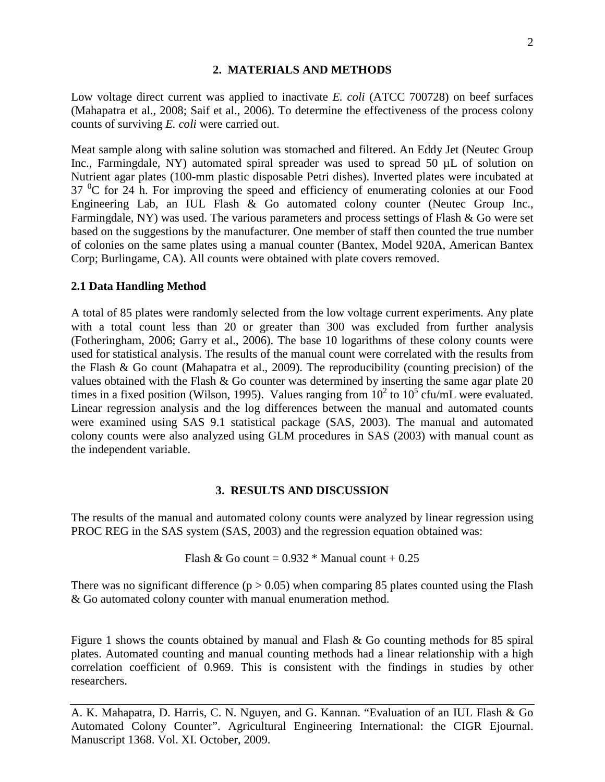# **2. MATERIALS AND METHODS**

Low voltage direct current was applied to inactivate *E. coli* (ATCC 700728) on beef surfaces (Mahapatra et al., 2008; Saif et al., 2006). To determine the effectiveness of the process colony counts of surviving *E. coli* were carried out.

Meat sample along with saline solution was stomached and filtered. An Eddy Jet (Neutec Group Inc., Farmingdale, NY) automated spiral spreader was used to spread 50  $\mu$ L of solution on Nutrient agar plates (100-mm plastic disposable Petri dishes). Inverted plates were incubated at  $37<sup>0</sup>C$  for 24 h. For improving the speed and efficiency of enumerating colonies at our Food Engineering Lab, an IUL Flash & Go automated colony counter (Neutec Group Inc., Farmingdale, NY) was used. The various parameters and process settings of Flash & Go were set based on the suggestions by the manufacturer. One member of staff then counted the true number of colonies on the same plates using a manual counter (Bantex, Model 920A, American Bantex Corp; Burlingame, CA). All counts were obtained with plate covers removed.

#### **2.1 Data Handling Method**

A total of 85 plates were randomly selected from the low voltage current experiments. Any plate with a total count less than 20 or greater than 300 was excluded from further analysis (Fotheringham, 2006; Garry et al., 2006). The base 10 logarithms of these colony counts were used for statistical analysis. The results of the manual count were correlated with the results from the Flash & Go count (Mahapatra et al., 2009). The reproducibility (counting precision) of the values obtained with the Flash & Go counter was determined by inserting the same agar plate 20 times in a fixed position (Wilson, 1995). Values ranging from  $10^2$  to  $10^5$  cfu/mL were evaluated. Linear regression analysis and the log differences between the manual and automated counts were examined using SAS 9.1 statistical package (SAS, 2003). The manual and automated colony counts were also analyzed using GLM procedures in SAS (2003) with manual count as the independent variable.

# **3. RESULTS AND DISCUSSION**

The results of the manual and automated colony counts were analyzed by linear regression using PROC REG in the SAS system (SAS, 2003) and the regression equation obtained was:

Flash & Go count =  $0.932 *$  Manual count +  $0.25$ 

There was no significant difference ( $p > 0.05$ ) when comparing 85 plates counted using the Flash & Go automated colony counter with manual enumeration method.

Figure 1 shows the counts obtained by manual and Flash & Go counting methods for 85 spiral plates. Automated counting and manual counting methods had a linear relationship with a high correlation coefficient of 0.969. This is consistent with the findings in studies by other researchers.

A. K. Mahapatra, D. Harris, C. N. Nguyen, and G. Kannan. "Evaluation of an IUL Flash & Go Automated Colony Counter". Agricultural Engineering International: the CIGR Ejournal. Manuscript 1368. Vol. XI. October, 2009.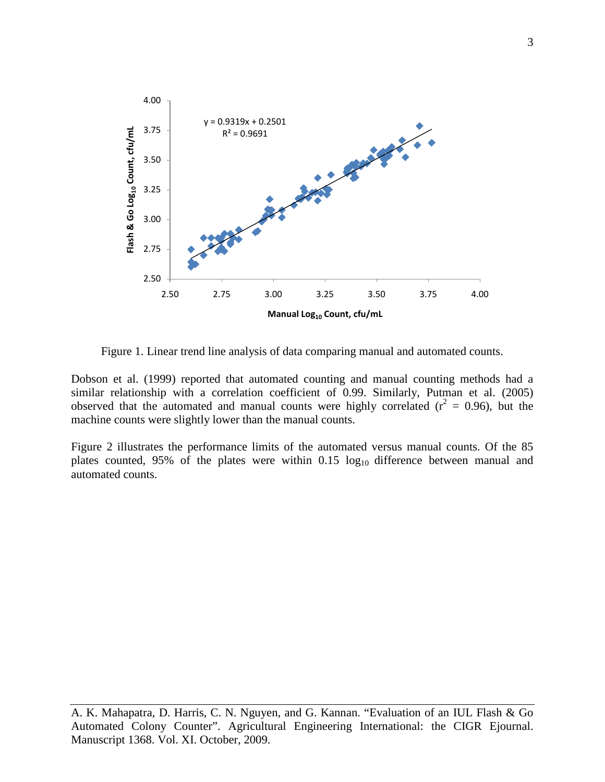

Figure 1. Linear trend line analysis of data comparing manual and automated counts.

Dobson et al. (1999) reported that automated counting and manual counting methods had a similar relationship with a correlation coefficient of 0.99. Similarly, Putman et al. (2005) observed that the automated and manual counts were highly correlated ( $r^2 = 0.96$ ), but the machine counts were slightly lower than the manual counts.

Figure 2 illustrates the performance limits of the automated versus manual counts. Of the 85 plates counted, 95% of the plates were within  $0.15 \log_{10}$  difference between manual and automated counts.

A. K. Mahapatra, D. Harris, C. N. Nguyen, and G. Kannan. "Evaluation of an IUL Flash & Go Automated Colony Counter". Agricultural Engineering International: the CIGR Ejournal. Manuscript 1368. Vol. XI. October, 2009.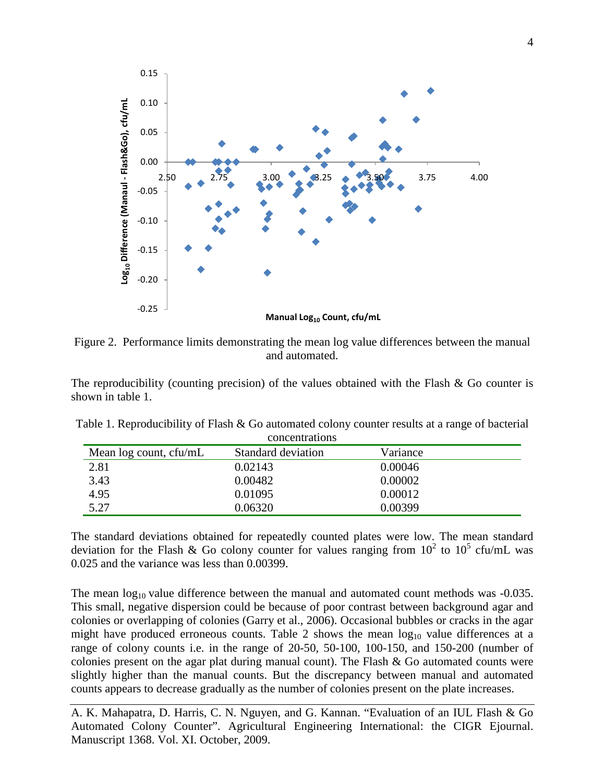

Figure 2. Performance limits demonstrating the mean log value differences between the manual and automated.

The reproducibility (counting precision) of the values obtained with the Flash  $\&$  Go counter is shown in table 1.

| <u>concentrations</u>  |                    |          |  |
|------------------------|--------------------|----------|--|
| Mean log count, cfu/mL | Standard deviation | Variance |  |
| 2.81                   | 0.02143            | 0.00046  |  |
| 3.43                   | 0.00482            | 0.00002  |  |
| 4.95                   | 0.01095            | 0.00012  |  |
| 5.27                   | 0.06320            | 0.00399  |  |

Table 1. Reproducibility of Flash & Go automated colony counter results at a range of bacterial concentrations

The standard deviations obtained for repeatedly counted plates were low. The mean standard deviation for the Flash & Go colony counter for values ranging from  $10^2$  to  $10^5$  cfu/mL was 0.025 and the variance was less than 0.00399.

The mean  $log_{10}$  value difference between the manual and automated count methods was  $-0.035$ . This small, negative dispersion could be because of poor contrast between background agar and colonies or overlapping of colonies (Garry et al., 2006). Occasional bubbles or cracks in the agar might have produced erroneous counts. Table 2 shows the mean  $log_{10}$  value differences at a range of colony counts i.e. in the range of 20-50, 50-100, 100-150, and 150-200 (number of colonies present on the agar plat during manual count). The Flash & Go automated counts were slightly higher than the manual counts. But the discrepancy between manual and automated counts appears to decrease gradually as the number of colonies present on the plate increases.

A. K. Mahapatra, D. Harris, C. N. Nguyen, and G. Kannan. "Evaluation of an IUL Flash & Go Automated Colony Counter". Agricultural Engineering International: the CIGR Ejournal. Manuscript 1368. Vol. XI. October, 2009.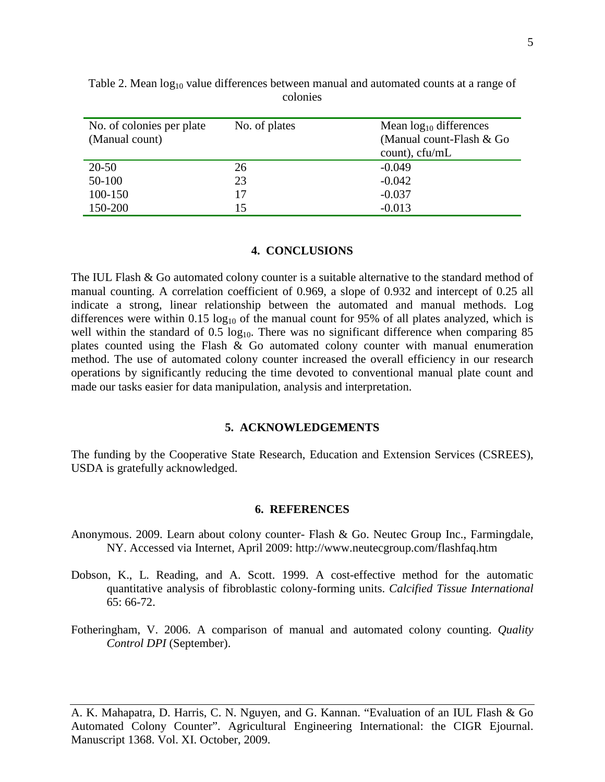| No. of colonies per plate<br>(Manual count) | No. of plates | Mean $log_{10}$ differences<br>(Manual count-Flash & Go<br>$count$ , $cfu/mL$ |
|---------------------------------------------|---------------|-------------------------------------------------------------------------------|
| 20-50                                       | 26            | $-0.049$                                                                      |
| 50-100                                      | 23            | $-0.042$                                                                      |
| 100-150                                     | 17            | $-0.037$                                                                      |
| 150-200                                     | 15            | $-0.013$                                                                      |

Table 2. Mean  $log_{10}$  value differences between manual and automated counts at a range of colonies

## **4. CONCLUSIONS**

The IUL Flash & Go automated colony counter is a suitable alternative to the standard method of manual counting. A correlation coefficient of 0.969, a slope of 0.932 and intercept of 0.25 all indicate a strong, linear relationship between the automated and manual methods. Log differences were within  $0.15 \log_{10}$  of the manual count for 95% of all plates analyzed, which is well within the standard of  $0.5 \log_{10}$ . There was no significant difference when comparing 85 plates counted using the Flash & Go automated colony counter with manual enumeration method. The use of automated colony counter increased the overall efficiency in our research operations by significantly reducing the time devoted to conventional manual plate count and made our tasks easier for data manipulation, analysis and interpretation.

## **5. ACKNOWLEDGEMENTS**

The funding by the Cooperative State Research, Education and Extension Services (CSREES), USDA is gratefully acknowledged.

#### **6. REFERENCES**

- Anonymous. 2009. Learn about colony counter- Flash & Go. Neutec Group Inc., Farmingdale, NY. Accessed via Internet, April 2009: http://www.neutecgroup.com/flashfaq.htm
- Dobson, K., L. Reading, and A. Scott. 1999. A cost-effective method for the automatic quantitative analysis of fibroblastic colony-forming units. *Calcified Tissue International* 65: 66-72.
- Fotheringham, V. 2006. A comparison of manual and automated colony counting. *Quality Control DPI* (September).

A. K. Mahapatra, D. Harris, C. N. Nguyen, and G. Kannan. "Evaluation of an IUL Flash & Go Automated Colony Counter". Agricultural Engineering International: the CIGR Ejournal. Manuscript 1368. Vol. XI. October, 2009.